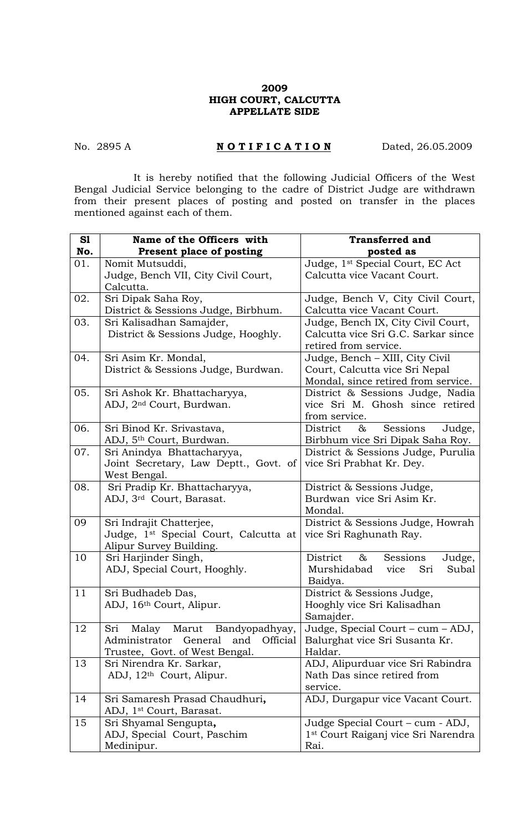## **2009 HIGH COURT, CALCUTTA APPELLATE SIDE**

## No. 2895 A **NOTIFICATION** Dated, 26.05.2009

 It is hereby notified that the following Judicial Officers of the West Bengal Judicial Service belonging to the cadre of District Judge are withdrawn from their present places of posting and posted on transfer in the places mentioned against each of them.

| S1  | Name of the Officers with                                 | <b>Transferred and</b>                                  |
|-----|-----------------------------------------------------------|---------------------------------------------------------|
| No. | Present place of posting                                  | posted as                                               |
| 01. | Nomit Mutsuddi,                                           | Judge, 1st Special Court, EC Act                        |
|     | Judge, Bench VII, City Civil Court,                       | Calcutta vice Vacant Court.                             |
|     | Calcutta.                                                 |                                                         |
| 02. | Sri Dipak Saha Roy,                                       | Judge, Bench V, City Civil Court,                       |
|     | District & Sessions Judge, Birbhum.                       | Calcutta vice Vacant Court.                             |
| 03. | Sri Kalisadhan Samajder,                                  | Judge, Bench IX, City Civil Court,                      |
|     | District & Sessions Judge, Hooghly.                       | Calcutta vice Sri G.C. Sarkar since                     |
|     |                                                           | retired from service.                                   |
| 04. | Sri Asim Kr. Mondal,                                      | Judge, Bench – XIII, City Civil                         |
|     | District & Sessions Judge, Burdwan.                       | Court, Calcutta vice Sri Nepal                          |
|     |                                                           | Mondal, since retired from service.                     |
| 05. | Sri Ashok Kr. Bhattacharyya,                              | District & Sessions Judge, Nadia                        |
|     | ADJ, 2 <sup>nd</sup> Court, Burdwan.                      | vice Sri M. Ghosh since retired                         |
|     |                                                           | from service.                                           |
| 06. | Sri Binod Kr. Srivastava,                                 | District<br>$\&$<br>Sessions<br>Judge,                  |
|     | ADJ, 5 <sup>th</sup> Court, Burdwan.                      | Birbhum vice Sri Dipak Saha Roy.                        |
| 07. | Sri Anindya Bhattacharyya,                                | District & Sessions Judge, Purulia                      |
|     | Joint Secretary, Law Deptt., Govt. of                     | vice Sri Prabhat Kr. Dey.                               |
| 08. | West Bengal.                                              |                                                         |
|     | Sri Pradip Kr. Bhattacharyya,<br>ADJ, 3rd Court, Barasat. | District & Sessions Judge,<br>Burdwan vice Sri Asim Kr. |
|     |                                                           | Mondal.                                                 |
| 09  | Sri Indrajit Chatterjee,                                  | District & Sessions Judge, Howrah                       |
|     | Judge, 1st Special Court, Calcutta at                     | vice Sri Raghunath Ray.                                 |
|     | Alipur Survey Building.                                   |                                                         |
| 10  | Sri Harjinder Singh,                                      | District<br>$\&$<br>Sessions<br>Judge,                  |
|     | ADJ, Special Court, Hooghly.                              | Murshidabad<br>Sri<br>Subal<br>vice                     |
|     |                                                           | Baidya.                                                 |
| 11  | Sri Budhadeb Das,                                         | District & Sessions Judge,                              |
|     | ADJ, 16th Court, Alipur.                                  | Hooghly vice Sri Kalisadhan                             |
|     |                                                           | Samajder.                                               |
| 12  | Sri<br>Malay Marut Bandyopadhyay,                         | Judge, Special Court - cum - ADJ,                       |
|     | Administrator<br>General<br>and<br>Official               | Balurghat vice Sri Susanta Kr.                          |
|     | Trustee, Govt. of West Bengal.                            | Haldar.                                                 |
| 13  | Sri Nirendra Kr. Sarkar,                                  | ADJ, Alipurduar vice Sri Rabindra                       |
|     | ADJ, 12 <sup>th</sup> Court, Alipur.                      | Nath Das since retired from                             |
|     |                                                           | service.                                                |
| 14  | Sri Samaresh Prasad Chaudhuri,                            | ADJ, Durgapur vice Vacant Court.                        |
|     | ADJ, 1 <sup>st</sup> Court, Barasat.                      |                                                         |
| 15  | Sri Shyamal Sengupta,                                     | Judge Special Court – cum - ADJ,                        |
|     | ADJ, Special Court, Paschim                               | 1 <sup>st</sup> Court Raiganj vice Sri Narendra         |
|     | Medinipur.                                                | Rai.                                                    |